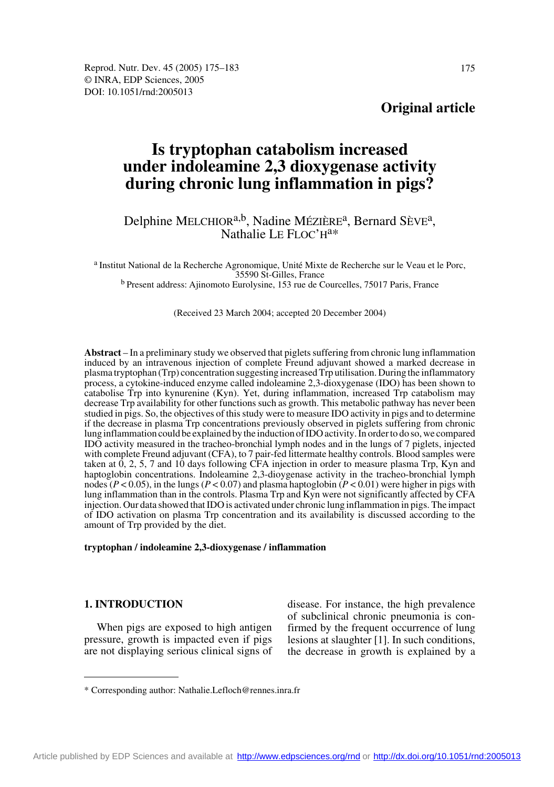# **Original article**

# **Is tryptophan catabolism increased under indoleamine 2,3 dioxygenase activity during chronic lung inflammation in pigs?**

# Delphine MELCHIOR<sup>a,b</sup>, Nadine MÉZIÈRE<sup>a</sup>, Bernard SÈVE<sup>a</sup>, Nathalie LE FLOC'Ha\*

a Institut National de la Recherche Agronomique, Unité Mixte de Recherche sur le Veau et le Porc, 35590 St-Gilles, France b Present address: Ajinomoto Eurolysine, 153 rue de Courcelles, 75017 Paris, France

(Received 23 March 2004; accepted 20 December 2004)

**Abstract** – In a preliminary study we observed that piglets suffering from chronic lung inflammation induced by an intravenous injection of complete Freund adjuvant showed a marked decrease in plasma tryptophan (Trp) concentration suggesting increased Trp utilisation. During the inflammatory process, a cytokine-induced enzyme called indoleamine 2,3-dioxygenase (IDO) has been shown to catabolise Trp into kynurenine (Kyn). Yet, during inflammation, increased Trp catabolism may decrease Trp availability for other functions such as growth. This metabolic pathway has never been studied in pigs. So, the objectives of this study were to measure IDO activity in pigs and to determine if the decrease in plasma Trp concentrations previously observed in piglets suffering from chronic lung inflammation could be explained by the induction of IDO activity. In order to do so, we compared IDO activity measured in the tracheo-bronchial lymph nodes and in the lungs of 7 piglets, injected with complete Freund adjuvant (CFA), to 7 pair-fed littermate healthy controls. Blood samples were taken at  $0, 2, 5, 7$  and  $10$  days following CFA injection in order to measure plasma Trp, Kyn and haptoglobin concentrations. Indoleamine 2,3-dioygenase activity in the tracheo-bronchial lymph nodes ( $P < 0.05$ ), in the lungs ( $P < 0.07$ ) and plasma haptoglobin ( $P < 0.01$ ) were higher in pigs with lung inflammation than in the controls. Plasma Trp and Kyn were not significantly affected by CFA injection. Our data showed that IDO is activated under chronic lung inflammation in pigs. The impact of IDO activation on plasma Trp concentration and its availability is discussed according to the amount of Trp provided by the diet.

#### **tryptophan / indoleamine 2,3-dioxygenase / inflammation**

# **1. INTRODUCTION**

When pigs are exposed to high antigen pressure, growth is impacted even if pigs are not displaying serious clinical signs of disease. For instance, the high prevalence of subclinical chronic pneumonia is confirmed by the frequent occurrence of lung lesions at slaughter [1]. In such conditions, the decrease in growth is explained by a

<sup>\*</sup> Corresponding author: Nathalie.Lefloch@rennes.inra.fr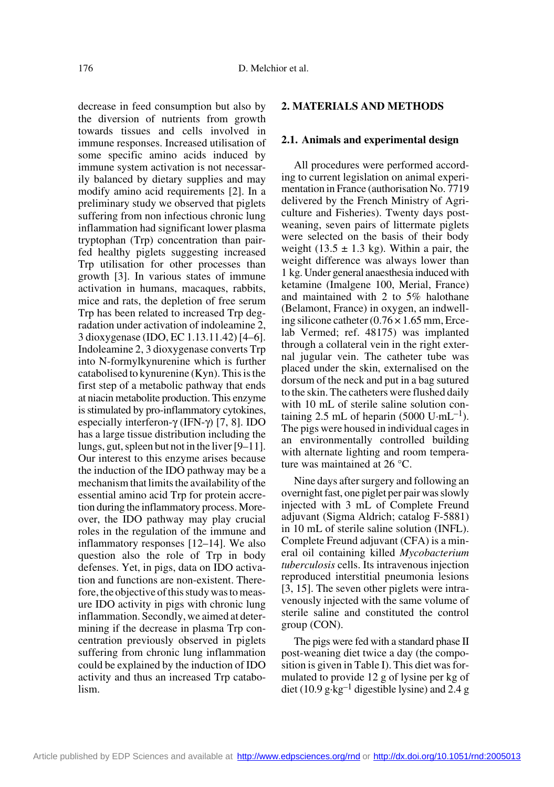decrease in feed consumption but also by the diversion of nutrients from growth towards tissues and cells involved in immune responses. Increased utilisation of some specific amino acids induced by immune system activation is not necessarily balanced by dietary supplies and may modify amino acid requirements [2]. In a preliminary study we observed that piglets suffering from non infectious chronic lung inflammation had significant lower plasma tryptophan (Trp) concentration than pairfed healthy piglets suggesting increased Trp utilisation for other processes than growth [3]. In various states of immune activation in humans, macaques, rabbits, mice and rats, the depletion of free serum Trp has been related to increased Trp degradation under activation of indoleamine 2, 3 dioxygenase (IDO, EC 1.13.11.42) [4–6]. Indoleamine 2, 3 dioxygenase converts Trp into N-formylkynurenine which is further catabolised to kynurenine (Kyn). This is the first step of a metabolic pathway that ends at niacin metabolite production. This enzyme is stimulated by pro-inflammatory cytokines, especially interferon-γ (IFN-γ) [7, 8]. IDO has a large tissue distribution including the lungs, gut, spleen but not in the liver [9–11]. Our interest to this enzyme arises because the induction of the IDO pathway may be a mechanism that limits the availability of the essential amino acid Trp for protein accretion during the inflammatory process. Moreover, the IDO pathway may play crucial roles in the regulation of the immune and inflammatory responses [12–14]. We also question also the role of Trp in body defenses. Yet, in pigs, data on IDO activation and functions are non-existent. Therefore, the objective of this study was to measure IDO activity in pigs with chronic lung inflammation. Secondly, we aimed at determining if the decrease in plasma Trp concentration previously observed in piglets suffering from chronic lung inflammation could be explained by the induction of IDO activity and thus an increased Trp catabolism.

#### **2. MATERIALS AND METHODS**

#### **2.1. Animals and experimental design**

All procedures were performed according to current legislation on animal experimentation in France (authorisation No. 7719 delivered by the French Ministry of Agriculture and Fisheries). Twenty days postweaning, seven pairs of littermate piglets were selected on the basis of their body weight  $(13.5 \pm 1.3 \text{ kg})$ . Within a pair, the weight difference was always lower than 1 kg. Under general anaesthesia induced with ketamine (Imalgene 100, Merial, France) and maintained with 2 to 5% halothane (Belamont, France) in oxygen, an indwelling silicone catheter  $(0.76 \times 1.65 \text{ mm}, \text{Erc}$ elab Vermed; ref. 48175) was implanted through a collateral vein in the right external jugular vein. The catheter tube was placed under the skin, externalised on the dorsum of the neck and put in a bag sutured to the skin. The catheters were flushed daily with 10 mL of sterile saline solution containing 2.5 mL of heparin (5000 U·mL<sup>-1</sup>). The pigs were housed in individual cages in an environmentally controlled building with alternate lighting and room temperature was maintained at 26 °C.

Nine days after surgery and following an overnight fast, one piglet per pair was slowly injected with 3 mL of Complete Freund adjuvant (Sigma Aldrich; catalog F-5881) in 10 mL of sterile saline solution (INFL). Complete Freund adjuvant (CFA) is a mineral oil containing killed *Mycobacterium tuberculosis* cells. Its intravenous injection reproduced interstitial pneumonia lesions [3, 15]. The seven other piglets were intravenously injected with the same volume of sterile saline and constituted the control group (CON).

The pigs were fed with a standard phase II post-weaning diet twice a day (the composition is given in Table I). This diet was formulated to provide 12 g of lysine per kg of diet (10.9 g·kg<sup>-1</sup> digestible lysine) and 2.4 g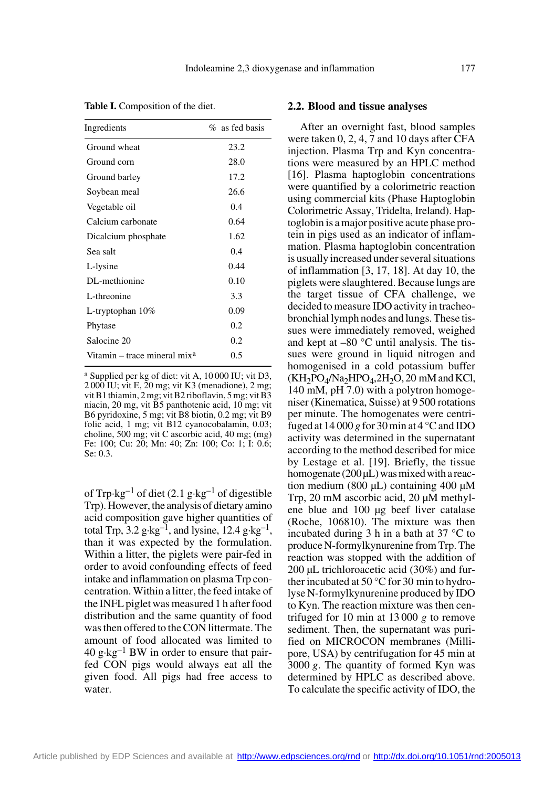| Ingredients                              | $%$ as fed basis |
|------------------------------------------|------------------|
| Ground wheat                             | 23.2             |
| Ground corn                              | 28.0             |
| Ground barley                            | 17.2             |
| Soybean meal                             | 26.6             |
| Vegetable oil                            | 0.4              |
| Calcium carbonate                        | 0.64             |
| Dicalcium phosphate                      | 1.62             |
| Sea salt                                 | 0.4              |
| L-lysine                                 | 0.44             |
| DL-methionine                            | 0.10             |
| L-threonine                              | 3.3              |
| L-tryptophan $10\%$                      | 0.09             |
| Phytase                                  | 0.2              |
| Salocine 20                              | 0.2              |
| Vitamin – trace mineral mix <sup>a</sup> | 0.5              |

Table I. Composition of the diet.

<sup>a</sup> Supplied per kg of diet: vit A, 10 000 IU; vit D3, 2 000 IU; vit E, 20 mg; vit K3 (menadione), 2 mg; vit B1 thiamin, 2 mg; vit B2 riboflavin, 5 mg; vit B3 niacin, 20 mg, vit B5 panthotenic acid, 10 mg; vit B6 pyridoxine, 5 mg; vit B8 biotin, 0.2 mg; vit B9 folic acid, 1 mg; vit B12 cyanocobalamin, 0.03; choline, 500 mg; vit C ascorbic acid, 40 mg; (mg) Fe: 100; Cu: 20; Mn: 40; Zn: 100; Co: 1; I: 0.6; Se: 0.3.

of  $Trp \cdot kg^{-1}$  of diet (2.1 g $\cdot kg^{-1}$  of digestible Trp). However, the analysis of dietary amino acid composition gave higher quantities of total Trp,  $3.2 \text{ g} \cdot \text{kg}^{-1}$ , and lysine,  $12.4 \text{ g} \cdot \text{kg}^{-1}$ , than it was expected by the formulation. Within a litter, the piglets were pair-fed in order to avoid confounding effects of feed intake and inflammation on plasma Trp concentration. Within a litter, the feed intake of the INFL piglet was measured 1 h after food distribution and the same quantity of food was then offered to the CON littermate. The amount of food allocated was limited to  $40 \text{ g} \cdot \text{kg}^{-1}$  BW in order to ensure that pairfed CON pigs would always eat all the given food. All pigs had free access to water.

#### **2.2. Blood and tissue analyses**

After an overnight fast, blood samples were taken 0, 2, 4, 7 and 10 days after CFA injection. Plasma Trp and Kyn concentrations were measured by an HPLC method [16]. Plasma haptoglobin concentrations were quantified by a colorimetric reaction using commercial kits (Phase Haptoglobin Colorimetric Assay, Tridelta, Ireland). Haptoglobin is a major positive acute phase protein in pigs used as an indicator of inflammation. Plasma haptoglobin concentration is usually increased under several situations of inflammation [3, 17, 18]. At day 10, the piglets were slaughtered. Because lungs are the target tissue of CFA challenge, we decided to measure IDO activity in tracheobronchial lymph nodes and lungs. These tissues were immediately removed, weighed and kept at –80 °C until analysis. The tissues were ground in liquid nitrogen and homogenised in a cold potassium buffer  $(KH<sub>2</sub>PO<sub>4</sub>/Na<sub>2</sub>HPO<sub>4</sub>, 2H<sub>2</sub>O, 20 mM and KCl,$ 140 mM, pH 7.0) with a polytron homogeniser (Kinematica, Suisse) at 9 500 rotations per minute. The homogenates were centrifuged at  $14\,000\,g$  for 30 min at  $4\,^{\circ}\text{C}$  and IDO activity was determined in the supernatant according to the method described for mice by Lestage et al. [19]. Briefly, the tissue homogenate  $(200 \mu L)$  was mixed with a reaction medium (800 µL) containing 400 µM Trp, 20 mM ascorbic acid, 20 µM methylene blue and 100 µg beef liver catalase (Roche, 106810). The mixture was then incubated during 3 h in a bath at 37 °C to produce N-formylkynurenine from Trp. The reaction was stopped with the addition of 200 µL trichloroacetic acid (30%) and further incubated at  $50^{\circ}$ C for 30 min to hydrolyse N-formylkynurenine produced by IDO to Kyn. The reaction mixture was then centrifuged for 10 min at 13 000 *g* to remove sediment. Then, the supernatant was purified on MICROCON membranes (Millipore, USA) by centrifugation for 45 min at 3000 *g*. The quantity of formed Kyn was determined by HPLC as described above. To calculate the specific activity of IDO, the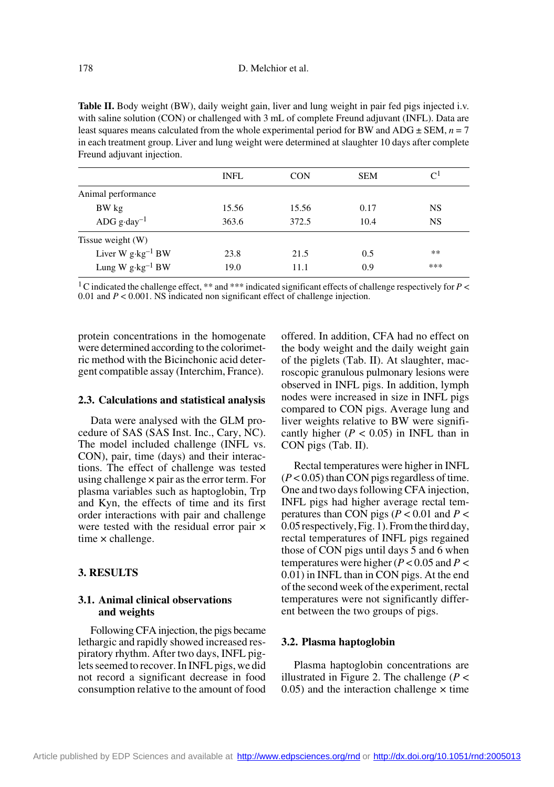**Table II.** Body weight (BW), daily weight gain, liver and lung weight in pair fed pigs injected i.v. with saline solution (CON) or challenged with 3 mL of complete Freund adjuvant (INFL). Data are least squares means calculated from the whole experimental period for BW and ADG ± SEM, *n* =7 in each treatment group. Liver and lung weight were determined at slaughter 10 days after complete Freund adjuvant injection.

|                             | <b>INFL</b> | <b>CON</b> | <b>SEM</b> | $\rm C^{1}$ |
|-----------------------------|-------------|------------|------------|-------------|
| Animal performance          |             |            |            |             |
| BW kg                       | 15.56       | 15.56      | 0.17       | NS          |
| ADG $g \cdot day^{-1}$      | 363.6       | 372.5      | 10.4       | NS          |
| Tissue weight (W)           |             |            |            |             |
| Liver W $g \cdot kg^{-1}BW$ | 23.8        | 21.5       | 0.5        | $**$        |
| Lung W $g \cdot kg^{-1}BW$  | 19.0        | 11.1       | 0.9        | ***         |
|                             |             |            |            |             |

1 C indicated the challenge effect, \*\* and \*\*\* indicated significant effects of challenge respectively for *P* < 0.01 and  $P < 0.001$ . NS indicated non significant effect of challenge injection.

protein concentrations in the homogenate were determined according to the colorimetric method with the Bicinchonic acid detergent compatible assay (Interchim, France).

#### **2.3. Calculations and statistical analysis**

Data were analysed with the GLM procedure of SAS (SAS Inst. Inc., Cary, NC). The model included challenge (INFL vs. CON), pair, time (days) and their interactions. The effect of challenge was tested using challenge × pair as the error term. For plasma variables such as haptoglobin, Trp and Kyn, the effects of time and its first order interactions with pair and challenge were tested with the residual error pair  $\times$ time  $\times$  challenge.

#### **3. RESULTS**

## **3.1. Animal clinical observations and weights**

Following CFA injection, the pigs became lethargic and rapidly showed increased respiratory rhythm. After two days, INFL piglets seemed to recover. In INFL pigs, we did not record a significant decrease in food consumption relative to the amount of food offered. In addition, CFA had no effect on the body weight and the daily weight gain of the piglets (Tab. II). At slaughter, macroscopic granulous pulmonary lesions were observed in INFL pigs. In addition, lymph nodes were increased in size in INFL pigs compared to CON pigs. Average lung and liver weights relative to BW were significantly higher  $(P < 0.05)$  in INFL than in CON pigs (Tab. II).

Rectal temperatures were higher in INFL (*P* < 0.05) than CON pigs regardless of time. One and two days following CFA injection, INFL pigs had higher average rectal temperatures than CON pigs (*P* < 0.01 and *P* < 0.05 respectively, Fig. 1). From the third day, rectal temperatures of INFL pigs regained those of CON pigs until days 5 and 6 when temperatures were higher ( $P < 0.05$  and  $P <$ 0.01) in INFL than in CON pigs. At the end of the second week of the experiment, rectal temperatures were not significantly different between the two groups of pigs.

# **3.2. Plasma haptoglobin**

Plasma haptoglobin concentrations are illustrated in Figure 2. The challenge  $(P <$  $(0.05)$  and the interaction challenge  $\times$  time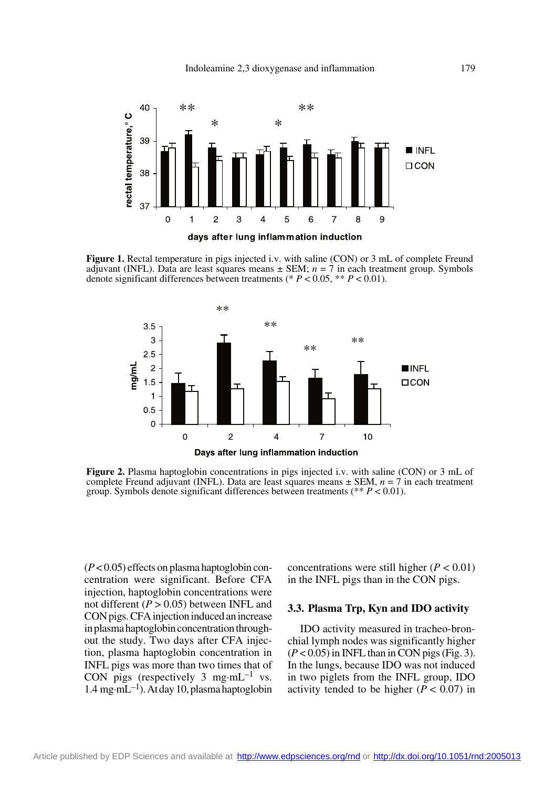

**Figure 1.** Rectal temperature in pigs injected i.v. with saline (CON) or 3 mL of complete Freund adjuvant (INFL). Data are least squares means  $\pm$  SEM;  $n = 7$  in each treatment group. Symbols denote significant differences between treatments (\* *P* < 0.05, \*\* *P* < 0.01).



**Figure 2.** Plasma haptoglobin concentrations in pigs injected i.v. with saline (CON) or 3 mL of complete Freund adjuvant (INFL). Data are least squares means ± SEM, *n* = 7 in each treatment group. Symbols denote significant differences between treatments (\*\* *P* < 0.01).

(*P* < 0.05) effects on plasma haptoglobin concentration were significant. Before CFA injection, haptoglobin concentrations were not different (*P* > 0.05) between INFL and CON pigs. CFA injection induced an increase in plasma haptoglobin concentration throughout the study. Two days after CFA injection, plasma haptoglobin concentration in INFL pigs was more than two times that of CON pigs (respectively 3 mg·mL<sup>-1</sup> vs.  $1.4 \text{ mg} \cdot \text{mL}^{-1}$ ). At day 10, plasma haptoglobin concentrations were still higher  $(P < 0.01)$ in the INFL pigs than in the CON pigs.

# **3.3. Plasma Trp, Kyn and IDO activity**

IDO activity measured in tracheo-bronchial lymph nodes was significantly higher  $(P<0.05)$  in INFL than in CON pigs (Fig. 3). In the lungs, because IDO was not induced in two piglets from the INFL group, IDO activity tended to be higher  $(P < 0.07)$  in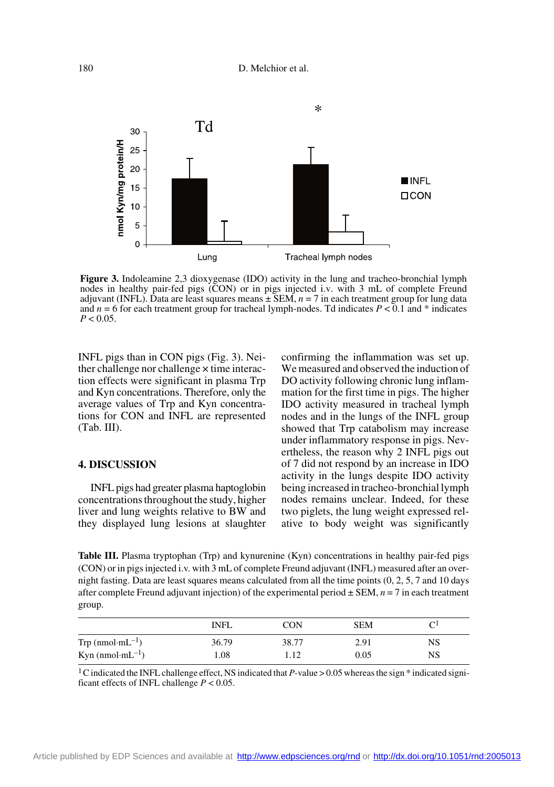

**Figure 3.** Indoleamine 2,3 dioxygenase (IDO) activity in the lung and tracheo-bronchial lymph nodes in healthy pair-fed pigs (CON) or in pigs injected i.v. with 3 mL of complete Freund adjuvant (INFL). Data are least squares means  $\pm$  SEM,  $n = 7$  in each treatment group for lung data and  $n = 6$  for each treatment group for tracheal lymph-nodes. Td indicates  $P < 0.1$  and \* indicates  $P < 0.05$ .

INFL pigs than in CON pigs (Fig. 3). Neither challenge nor challenge  $\times$  time interaction effects were significant in plasma Trp and Kyn concentrations. Therefore, only the average values of Trp and Kyn concentrations for CON and INFL are represented (Tab. III).

## **4. DISCUSSION**

INFL pigs had greater plasma haptoglobin concentrations throughout the study, higher liver and lung weights relative to BW and they displayed lung lesions at slaughter confirming the inflammation was set up. We measured and observed the induction of DO activity following chronic lung inflammation for the first time in pigs. The higher IDO activity measured in tracheal lymph nodes and in the lungs of the INFL group showed that Trp catabolism may increase under inflammatory response in pigs. Nevertheless, the reason why 2 INFL pigs out of 7 did not respond by an increase in IDO activity in the lungs despite IDO activity being increased in tracheo-bronchial lymph nodes remains unclear. Indeed, for these two piglets, the lung weight expressed relative to body weight was significantly

**Table III.** Plasma tryptophan (Trp) and kynurenine (Kyn) concentrations in healthy pair-fed pigs (CON) or in pigs injected i.v. with 3 mL of complete Freund adjuvant (INFL) measured after an overnight fasting. Data are least squares means calculated from all the time points (0, 2, 5, 7 and 10 days after complete Freund adjuvant injection) of the experimental period ± SEM, *n* = 7 in each treatment group.

|                                | INFL  | CON   | SEM  |    |
|--------------------------------|-------|-------|------|----|
| $Trp$ (nmol·mL <sup>-1</sup> ) | 36.79 | 38.77 | 2.91 | NS |
| Kyn (nmol·m $L^{-1}$ )         | .08   | .12   | 0.05 | NS |

<sup>1</sup>C indicated the INFL challenge effect, NS indicated that *P*-value > 0.05 whereas the sign \* indicated significant effects of INFL challenge  $P < 0.05$ .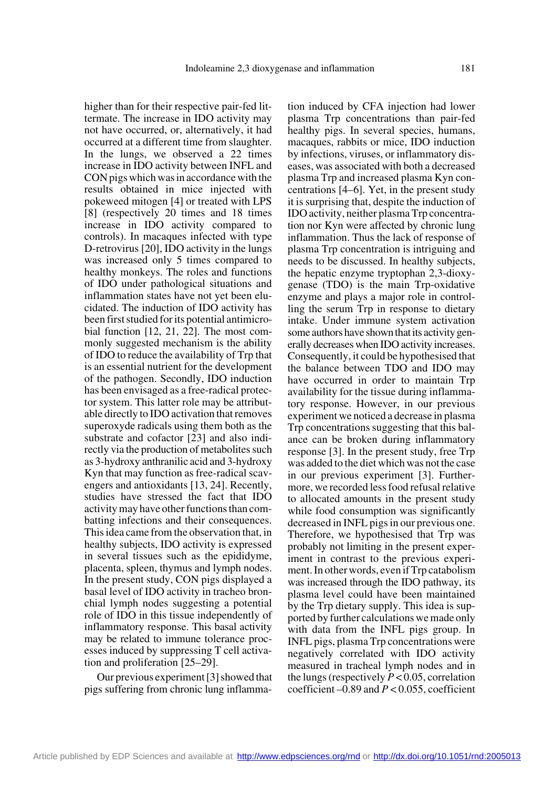higher than for their respective pair-fed littermate. The increase in IDO activity may not have occurred, or, alternatively, it had occurred at a different time from slaughter. In the lungs, we observed a 22 times increase in IDO activity between INFL and CON pigs which was in accordance with the results obtained in mice injected with pokeweed mitogen [4] or treated with LPS [8] (respectively 20 times and 18 times increase in IDO activity compared to controls). In macaques infected with type D-retrovirus [20], IDO activity in the lungs was increased only 5 times compared to healthy monkeys. The roles and functions of IDO under pathological situations and inflammation states have not yet been elucidated. The induction of IDO activity has been first studied for its potential antimicrobial function [12, 21, 22]. The most commonly suggested mechanism is the ability of IDO to reduce the availability of Trp that is an essential nutrient for the development of the pathogen. Secondly, IDO induction has been envisaged as a free-radical protector system. This latter role may be attributable directly to IDO activation that removes superoxyde radicals using them both as the substrate and cofactor [23] and also indirectly via the production of metabolites such as 3-hydroxy anthranilic acid and 3-hydroxy Kyn that may function as free-radical scavengers and antioxidants [13, 24]. Recently, studies have stressed the fact that IDO activity may have other functions than combatting infections and their consequences. This idea came from the observation that, in healthy subjects, IDO activity is expressed in several tissues such as the epididyme, placenta, spleen, thymus and lymph nodes. In the present study, CON pigs displayed a basal level of IDO activity in tracheo bronchial lymph nodes suggesting a potential role of IDO in this tissue independently of inflammatory response. This basal activity may be related to immune tolerance processes induced by suppressing T cell activation and proliferation [25–29].

Our previous experiment [3] showed that pigs suffering from chronic lung inflammation induced by CFA injection had lower plasma Trp concentrations than pair-fed healthy pigs. In several species, humans, macaques, rabbits or mice, IDO induction by infections, viruses, or inflammatory diseases, was associated with both a decreased plasma Trp and increased plasma Kyn concentrations [4–6]. Yet, in the present study it is surprising that, despite the induction of IDO activity, neither plasma Trp concentration nor Kyn were affected by chronic lung inflammation. Thus the lack of response of plasma Trp concentration is intriguing and needs to be discussed. In healthy subjects, the hepatic enzyme tryptophan 2,3-dioxygenase (TDO) is the main Trp-oxidative enzyme and plays a major role in controlling the serum Trp in response to dietary intake. Under immune system activation some authors have shown that its activity generally decreases when IDO activity increases. Consequently, it could be hypothesised that the balance between TDO and IDO may have occurred in order to maintain Trp availability for the tissue during inflammatory response. However, in our previous experiment we noticed a decrease in plasma Trp concentrations suggesting that this balance can be broken during inflammatory response [3]. In the present study, free Trp was added to the diet which was not the case in our previous experiment [3]. Furthermore, we recorded less food refusal relative to allocated amounts in the present study while food consumption was significantly decreased in INFL pigs in our previous one. Therefore, we hypothesised that Trp was probably not limiting in the present experiment in contrast to the previous experiment. In other words, even if Trp catabolism was increased through the IDO pathway, its plasma level could have been maintained by the Trp dietary supply. This idea is supported by further calculations we made only with data from the INFL pigs group. In INFL pigs, plasma Trp concentrations were negatively correlated with IDO activity measured in tracheal lymph nodes and in the lungs (respectively  $P < 0.05$ , correlation coefficient –0.89 and *P* < 0.055, coefficient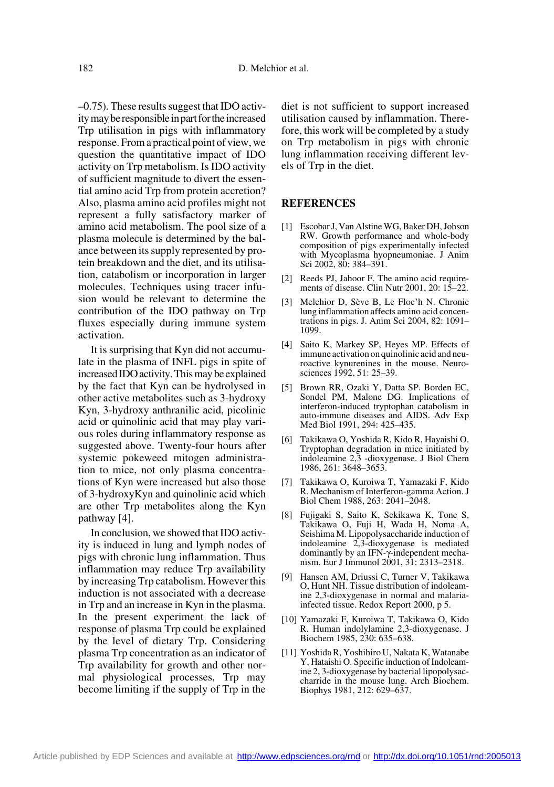–0.75). These results suggest that IDO activity may be responsible in part for the increased Trp utilisation in pigs with inflammatory response. From a practical point of view, we question the quantitative impact of IDO activity on Trp metabolism. Is IDO activity of sufficient magnitude to divert the essential amino acid Trp from protein accretion? Also, plasma amino acid profiles might not represent a fully satisfactory marker of amino acid metabolism. The pool size of a plasma molecule is determined by the balance between its supply represented by protein breakdown and the diet, and its utilisation, catabolism or incorporation in larger molecules. Techniques using tracer infusion would be relevant to determine the contribution of the IDO pathway on Trp fluxes especially during immune system activation.

It is surprising that Kyn did not accumulate in the plasma of INFL pigs in spite of increased IDO activity. This may be explained by the fact that Kyn can be hydrolysed in other active metabolites such as 3-hydroxy Kyn, 3-hydroxy anthranilic acid, picolinic acid or quinolinic acid that may play various roles during inflammatory response as suggested above. Twenty-four hours after systemic pokeweed mitogen administration to mice, not only plasma concentrations of Kyn were increased but also those of 3-hydroxyKyn and quinolinic acid which are other Trp metabolites along the Kyn pathway [4].

In conclusion, we showed that IDO activity is induced in lung and lymph nodes of pigs with chronic lung inflammation. Thus inflammation may reduce Trp availability by increasing Trp catabolism. However this induction is not associated with a decrease in Trp and an increase in Kyn in the plasma. In the present experiment the lack of response of plasma Trp could be explained by the level of dietary Trp. Considering plasma Trp concentration as an indicator of Trp availability for growth and other normal physiological processes, Trp may become limiting if the supply of Trp in the

diet is not sufficient to support increased utilisation caused by inflammation. Therefore, this work will be completed by a study on Trp metabolism in pigs with chronic lung inflammation receiving different levels of Trp in the diet.

# **REFERENCES**

- [1] Escobar J, Van Alstine WG, Baker DH, Johson RW. Growth performance and whole-body composition of pigs experimentally infected with Mycoplasma hyopneumoniae. J Anim Sci 2002, 80: 384–391.
- [2] Reeds PJ, Jahoor F. The amino acid requirements of disease. Clin Nutr 2001, 20: 15–22.
- [3] Melchior D, Sève B, Le Floc'h N. Chronic lung inflammation affects amino acid concentrations in pigs. J. Anim Sci 2004, 82: 1091– 1099.
- [4] Saito K, Markey SP, Heyes MP. Effects of immune activation on quinolinic acid and neuroactive kynurenines in the mouse. Neurosciences 1992, 51: 25–39.
- [5] Brown RR, Ozaki Y, Datta SP. Borden EC, Sondel PM, Malone DG. Implications of interferon-induced tryptophan catabolism in auto-immune diseases and AIDS. Adv Exp Med Biol 1991, 294: 425–435.
- [6] Takikawa O, Yoshida R, Kido R, Hayaishi O. Tryptophan degradation in mice initiated by indoleamine 2,3 -dioxygenase. J Biol Chem 1986, 261: 3648–3653.
- [7] Takikawa O, Kuroiwa T, Yamazaki F, Kido R. Mechanism of Interferon-gamma Action. J Biol Chem 1988, 263: 2041–2048.
- [8] Fujigaki S, Saito K, Sekikawa K, Tone S, Takikawa O, Fuji H, Wada H, Noma A, Seishima M. Lipopolysaccharide induction of indoleamine 2,3-dioxygenase is mediated dominantly by an IFN-γ-independent mechanism. Eur J Immunol 2001, 31: 2313–2318.
- [9] Hansen AM, Driussi C, Turner V, Takikawa O, Hunt NH. Tissue distribution of indoleamine 2,3-dioxygenase in normal and malariainfected tissue. Redox Report 2000, p 5.
- [10] Yamazaki F, Kuroiwa T, Takikawa O, Kido R. Human indolylamine 2,3-dioxygenase. J Biochem 1985, 230: 635–638.
- [11] Yoshida R, Yoshihiro U, Nakata K, Watanabe Y, Hataishi O. Specific induction of Indoleamine 2, 3-dioxygenase by bacterial lipopolysaccharride in the mouse lung. Arch Biochem. Biophys 1981, 212: 629–637.